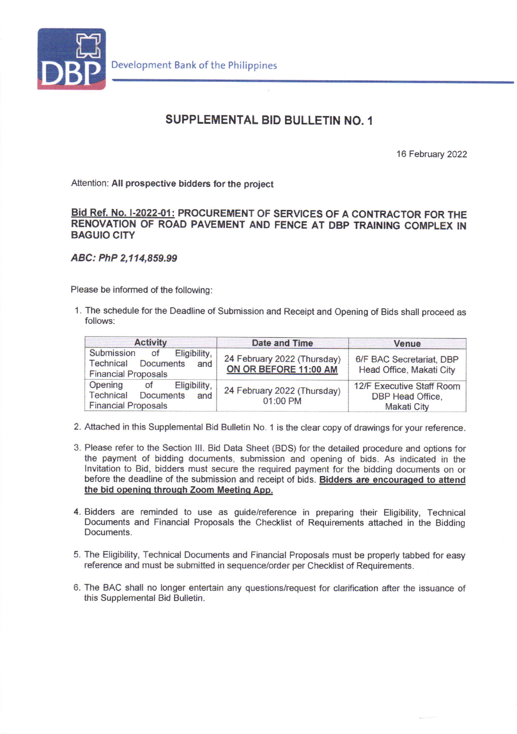

## SUPPLEMENTAL BID BULLETIN NO. 1

16 February 2022

Attention: All prospective bidders for the project

Bid Ref. No. I-2022-01: PROCUREMENT OF SERVICES OF A CONTRACTOR FOR THE RENOVATION OF ROAD PAVEMENT AND FENCE AT DBP TRAINING COMPLEX IN BAGUIO CITY

ABC: PhP 2,114,859.99

Please be informed of the following:

1. The schedule for the Deadline of Submission and Receipt and Opening of Bids shall proceed as follows:

| <b>Activity</b>                                                                           | Date and Time                                        | Venue                                                        |
|-------------------------------------------------------------------------------------------|------------------------------------------------------|--------------------------------------------------------------|
| Submission of<br>Eligibility.<br>Technical Documents and<br><b>Financial Proposals</b>    | 24 February 2022 (Thursday)<br>ON OR BEFORE 11:00 AM | 6/F BAC Secretariat, DBP<br>Head Office, Makati City         |
| Opening<br>Eligibility,<br>of<br>Technical<br>Documents and<br><b>Financial Proposals</b> | 24 February 2022 (Thursday)<br>01:00 PM              | 12/F Executive Staff Room<br>DBP Head Office.<br>Makati City |

- 2. Attached in this Supplemental Bid Bulletin No. 1 is the clear copy of drawings for your reference.
- 3. Please refer to the Section lll. Bid Data Sheet (BDS) for the detailed procedure and options for the payment of bidding documents, submission and opening of bids. As indicated in the lnvitation to Bid, bidders must secure the required payment for the bidding documents on or before the deadline of the submission and receipt of bids. Bidders are encouraged to attend the bid opening through Zoom Meeting App.
- 4. Bidders are reminded to use as guide/reference in preparing their Eligibility, Technical Documents and Financial Proposals the Checklist of Requirements attached in the Bidding Documents.
- 5. The Eligibility, Technical Documents and Financial Proposals must be properly tabbed for easy reference and must be submitted in sequence/order per Checklist of Requirements.
- 6. The BAC shall no longer entertain any questions/request for clarification after the issuance of this Supplemental Bid Bulletin.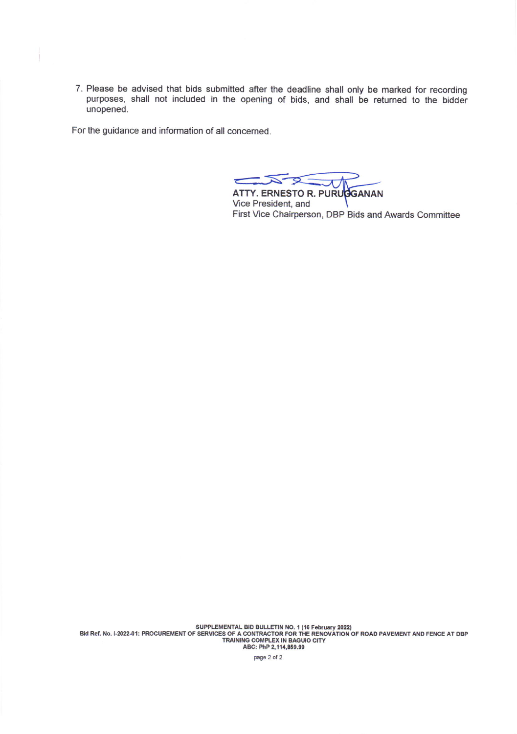7. Please be advised that bids submitted after the deadline shall only be marked for recording purposes, shall not included in the opening of bids, and shall be returned to the bidder unopened.

For the guidance and information of all concerned.

ì

 $\mathcal{L}$ 

ATTY. ERNESTO R. PURUBGANAN Vice President, and First Vice Chairperson, DBP Bids and Awards Committee

SUPPLEMENTAL BID BULLETIN NO. 1 (16 February 2022)<br>Bid Ref. No. I-2022-01: PROCUREMENT OF SERVICES OF A CONTRACTOR FOR THE RENOVATION OF ROAD PAVEMENT AND FENCE AT DBP<br>ABC: PhP 2,114,859.99

page 2 of 2